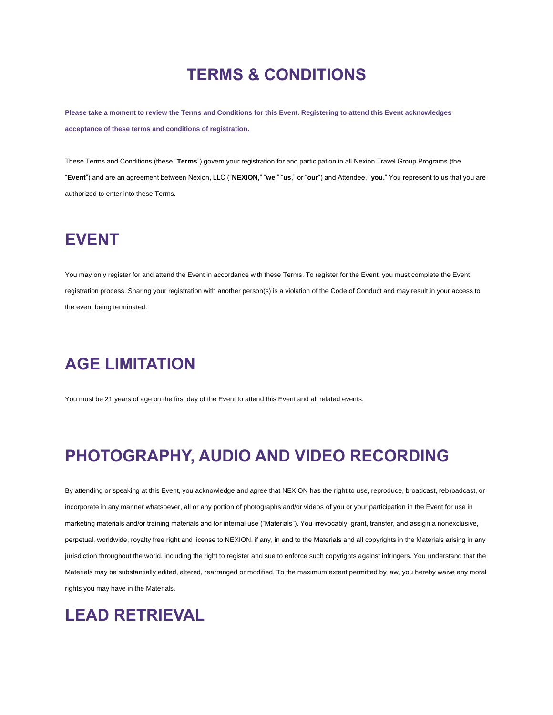## **TERMS & CONDITIONS**

Please take a moment to review the Terms and Conditions for this Event. Registering to attend this Event acknowledges **acceptance of these terms and conditions of registration.**

These Terms and Conditions (these "**Terms**") govern your registration for and participation in all Nexion Travel Group Programs (the "**Event**") and are an agreement between Nexion, LLC ("**NEXION**," "**we**," "**us**," or "**our**") and Attendee, "**you.**" You represent to us that you are authorized to enter into these Terms.

## **EVENT**

You may only register for and attend the Event in accordance with these Terms. To register for the Event, you must complete the Event registration process. Sharing your registration with another person(s) is a violation of the Code of Conduct and may result in your access to the event being terminated.

## **AGE LIMITATION**

You must be 21 years of age on the first day of the Event to attend this Event and all related events.

## **PHOTOGRAPHY, AUDIO AND VIDEO RECORDING**

By attending or speaking at this Event, you acknowledge and agree that NEXION has the right to use, reproduce, broadcast, rebroadcast, or incorporate in any manner whatsoever, all or any portion of photographs and/or videos of you or your participation in the Event for use in marketing materials and/or training materials and for internal use ("Materials"). You irrevocably, grant, transfer, and assign a nonexclusive, perpetual, worldwide, royalty free right and license to NEXION, if any, in and to the Materials and all copyrights in the Materials arising in any jurisdiction throughout the world, including the right to register and sue to enforce such copyrights against infringers. You understand that the Materials may be substantially edited, altered, rearranged or modified. To the maximum extent permitted by law, you hereby waive any moral rights you may have in the Materials.

## **LEAD RETRIEVAL**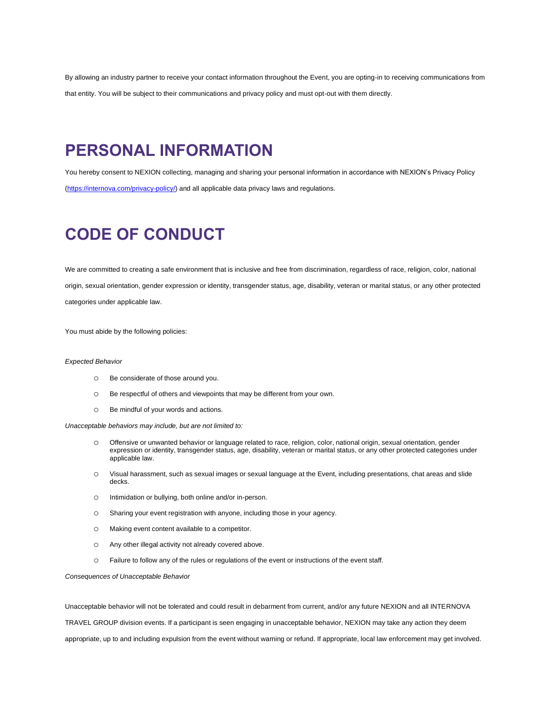By allowing an industry partner to receive your contact information throughout the Event, you are opting-in to receiving communications from that entity. You will be subject to their communications and privacy policy and must opt-out with them directly.

## **PERSONAL INFORMATION**

You hereby consent to NEXION collecting, managing and sharing your personal information in accordance with NEXION's Privacy Policy [\(https://internova.com/privacy-policy/\)](https://internova.com/privacy-policy/) and all applicable data privacy laws and regulations.

# **CODE OF CONDUCT**

We are committed to creating a safe environment that is inclusive and free from discrimination, regardless of race, religion, color, national origin, sexual orientation, gender expression or identity, transgender status, age, disability, veteran or marital status, or any other protected categories under applicable law.

You must abide by the following policies:

#### *Expected Behavior*

- o Be considerate of those around you.
- o Be respectful of others and viewpoints that may be different from your own.
- o Be mindful of your words and actions.

*Unacceptable behaviors may include, but are not limited to:*

- o Offensive or unwanted behavior or language related to race, religion, color, national origin, sexual orientation, gender expression or identity, transgender status, age, disability, veteran or marital status, or any other protected categories under applicable law.
- o Visual harassment, such as sexual images or sexual language at the Event, including presentations, chat areas and slide decks.
- o Intimidation or bullying, both online and/or in-person.
- o Sharing your event registration with anyone, including those in your agency.
- o Making event content available to a competitor.
- o Any other illegal activity not already covered above.
- o Failure to follow any of the rules or regulations of the event or instructions of the event staff.

*Consequences of Unacceptable Behavior*

Unacceptable behavior will not be tolerated and could result in debarment from current, and/or any future NEXION and all INTERNOVA

TRAVEL GROUP division events. If a participant is seen engaging in unacceptable behavior, NEXION may take any action they deem

appropriate, up to and including expulsion from the event without warning or refund. If appropriate, local law enforcement may get involved.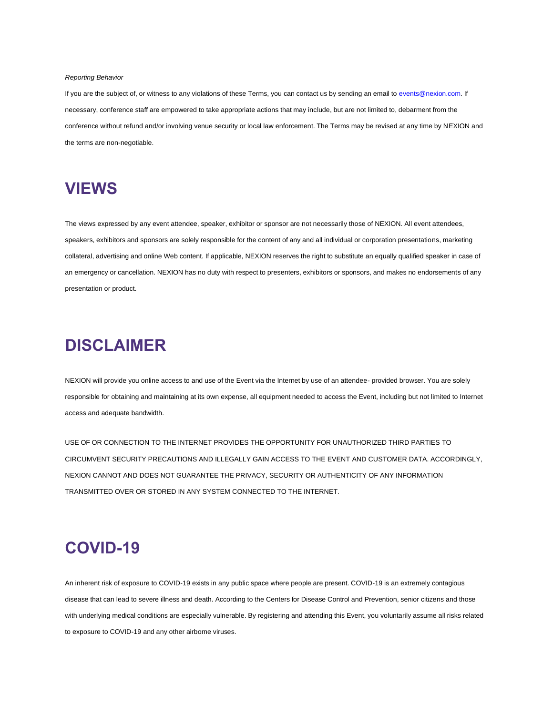#### *Reporting Behavior*

If you are the subject of, or witness to any violations of these Terms, you can contact us by sending an email to [events@nexion.com.](mailto:events@nexion.com) If necessary, conference staff are empowered to take appropriate actions that may include, but are not limited to, debarment from the conference without refund and/or involving venue security or local law enforcement. The Terms may be revised at any time by NEXION and the terms are non-negotiable.

### **VIEWS**

The views expressed by any event attendee, speaker, exhibitor or sponsor are not necessarily those of NEXION. All event attendees, speakers, exhibitors and sponsors are solely responsible for the content of any and all individual or corporation presentations, marketing collateral, advertising and online Web content. If applicable, NEXION reserves the right to substitute an equally qualified speaker in case of an emergency or cancellation. NEXION has no duty with respect to presenters, exhibitors or sponsors, and makes no endorsements of any presentation or product.

## **DISCLAIMER**

NEXION will provide you online access to and use of the Event via the Internet by use of an attendee- provided browser. You are solely responsible for obtaining and maintaining at its own expense, all equipment needed to access the Event, including but not limited to Internet access and adequate bandwidth.

USE OF OR CONNECTION TO THE INTERNET PROVIDES THE OPPORTUNITY FOR UNAUTHORIZED THIRD PARTIES TO CIRCUMVENT SECURITY PRECAUTIONS AND ILLEGALLY GAIN ACCESS TO THE EVENT AND CUSTOMER DATA. ACCORDINGLY, NEXION CANNOT AND DOES NOT GUARANTEE THE PRIVACY, SECURITY OR AUTHENTICITY OF ANY INFORMATION TRANSMITTED OVER OR STORED IN ANY SYSTEM CONNECTED TO THE INTERNET.

## **COVID-19**

An inherent risk of exposure to COVID-19 exists in any public space where people are present. COVID-19 is an extremely contagious disease that can lead to severe illness and death. According to the Centers for Disease Control and Prevention, senior citizens and those with underlying medical conditions are especially vulnerable. By registering and attending this Event, you voluntarily assume all risks related to exposure to COVID-19 and any other airborne viruses.